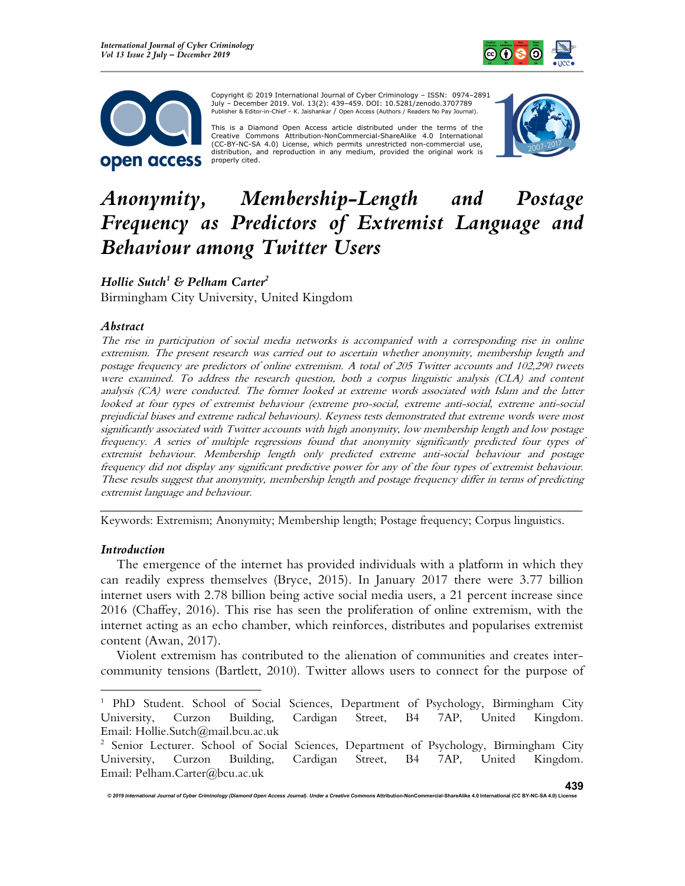



Copyright © 2019 International Journal of Cyber Criminology – ISSN: 0974–2891 July – December 2019. Vol. 13(2): 439–459. DOI: 10.5281/zenodo.3707789 Publisher & Editor-in-Chief – K. Jaishankar / Open Access (Authors / Readers No Pay Journal).

This is a Diamond Open Access article distributed under the terms of the Creative Commons Attribution-NonCommercial-ShareAlike 4.0 International (CC-BY-NC-SA 4.0) License, which permits unrestricted non-commercial use, distribution, and reproduction in any medium, provided the original work is properly cited.



# Anonymity, Membership-Length and Postage Frequency as Predictors of Extremist Language and Behaviour among Twitter Users

Hollie Sutch $^1$  & Pelham Carter $^2$ Birmingham City University, United Kingdom

#### Abstract

The rise in participation of social media networks is accompanied with a corresponding rise in online extremism. The present research was carried out to ascertain whether anonymity, membership length and postage frequency are predictors of online extremism. A total of 205 Twitter accounts and 102,290 tweets were examined. To address the research question, both a corpus linguistic analysis (CLA) and content analysis (CA) were conducted. The former looked at extreme words associated with Islam and the latter looked at four types of extremist behaviour (extreme pro-social, extreme anti-social, extreme anti-social prejudicial biases and extreme radical behaviours). Keyness tests demonstrated that extreme words were most significantly associated with Twitter accounts with high anonymity, low membership length and low postage frequency. A series of multiple regressions found that anonymity significantly predicted four types of extremist behaviour. Membership length only predicted extreme anti-social behaviour and postage frequency did not display any significant predictive power for any of the four types of extremist behaviour. These results suggest that anonymity, membership length and postage frequency differ in terms of predicting extremist language and behaviour.

Keywords: Extremism; Anonymity; Membership length; Postage frequency; Corpus linguistics.

\_\_\_\_\_\_\_\_\_\_\_\_\_\_\_\_\_\_\_\_\_\_\_\_\_\_\_\_\_\_\_\_\_\_\_\_\_\_\_\_\_\_\_\_\_\_\_\_\_\_\_\_\_\_\_\_\_\_\_\_\_\_\_\_\_\_\_\_\_\_\_\_

#### Introduction

The emergence of the internet has provided individuals with a platform in which they can readily express themselves (Bryce, 2015). In January 2017 there were 3.77 billion internet users with 2.78 billion being active social media users, a 21 percent increase since 2016 (Chaffey, 2016). This rise has seen the proliferation of online extremism, with the internet acting as an echo chamber, which reinforces, distributes and popularises extremist content (Awan, 2017).

Violent extremism has contributed to the alienation of communities and creates intercommunity tensions (Bartlett, 2010). Twitter allows users to connect for the purpose of

<sup>&</sup>lt;sup>1</sup> PhD Student. School of Social Sciences, Department of Psychology, Birmingham City University, Curzon Building, Cardigan Street, B4 7AP, United Kingdom. Email: Hollie.Sutch@mail.bcu.ac.uk

<sup>&</sup>lt;sup>2</sup> Senior Lecturer. School of Social Sciences, Department of Psychology, Birmingham City University, Curzon Building, Cardigan Street, B4 7AP, United Kingdom. Email: Pelham.Carter@bcu.ac.uk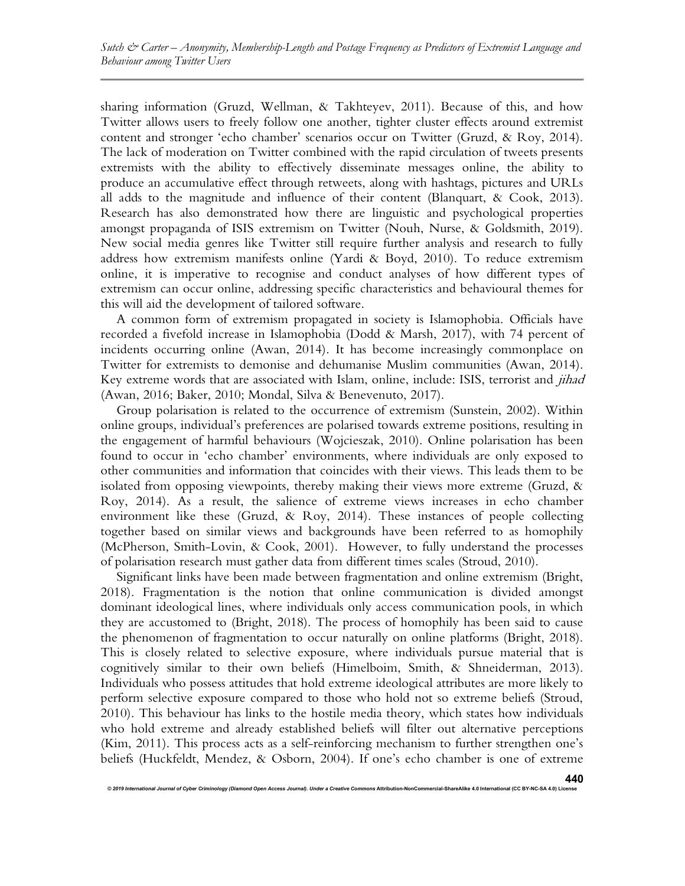sharing information (Gruzd, Wellman, & Takhteyev, 2011). Because of this, and how Twitter allows users to freely follow one another, tighter cluster effects around extremist content and stronger 'echo chamber' scenarios occur on Twitter (Gruzd, & Roy, 2014). The lack of moderation on Twitter combined with the rapid circulation of tweets presents extremists with the ability to effectively disseminate messages online, the ability to produce an accumulative effect through retweets, along with hashtags, pictures and URLs all adds to the magnitude and influence of their content (Blanquart, & Cook, 2013). Research has also demonstrated how there are linguistic and psychological properties amongst propaganda of ISIS extremism on Twitter (Nouh, Nurse, & Goldsmith, 2019). New social media genres like Twitter still require further analysis and research to fully address how extremism manifests online (Yardi & Boyd, 2010). To reduce extremism online, it is imperative to recognise and conduct analyses of how different types of extremism can occur online, addressing specific characteristics and behavioural themes for this will aid the development of tailored software.

A common form of extremism propagated in society is Islamophobia. Officials have recorded a fivefold increase in Islamophobia (Dodd & Marsh, 2017), with 74 percent of incidents occurring online (Awan, 2014). It has become increasingly commonplace on Twitter for extremists to demonise and dehumanise Muslim communities (Awan, 2014). Key extreme words that are associated with Islam, online, include: ISIS, terrorist and *jihad* (Awan, 2016; Baker, 2010; Mondal, Silva & Benevenuto, 2017).

Group polarisation is related to the occurrence of extremism (Sunstein, 2002). Within online groups, individual's preferences are polarised towards extreme positions, resulting in the engagement of harmful behaviours (Wojcieszak, 2010). Online polarisation has been found to occur in 'echo chamber' environments, where individuals are only exposed to other communities and information that coincides with their views. This leads them to be isolated from opposing viewpoints, thereby making their views more extreme (Gruzd, & Roy, 2014). As a result, the salience of extreme views increases in echo chamber environment like these (Gruzd, & Roy, 2014). These instances of people collecting together based on similar views and backgrounds have been referred to as homophily (McPherson, Smith-Lovin, & Cook, 2001). However, to fully understand the processes of polarisation research must gather data from different times scales (Stroud, 2010).

Significant links have been made between fragmentation and online extremism (Bright, 2018). Fragmentation is the notion that online communication is divided amongst dominant ideological lines, where individuals only access communication pools, in which they are accustomed to (Bright, 2018). The process of homophily has been said to cause the phenomenon of fragmentation to occur naturally on online platforms (Bright, 2018). This is closely related to selective exposure, where individuals pursue material that is cognitively similar to their own beliefs (Himelboim, Smith, & Shneiderman, 2013). Individuals who possess attitudes that hold extreme ideological attributes are more likely to perform selective exposure compared to those who hold not so extreme beliefs (Stroud, 2010). This behaviour has links to the hostile media theory, which states how individuals who hold extreme and already established beliefs will filter out alternative perceptions (Kim, 2011). This process acts as a self-reinforcing mechanism to further strengthen one's beliefs (Huckfeldt, Mendez, & Osborn, 2004). If one's echo chamber is one of extreme

© 2019 International Journal of Cyber Criminology (Diamond Open Access Journal). Under a Creative Comn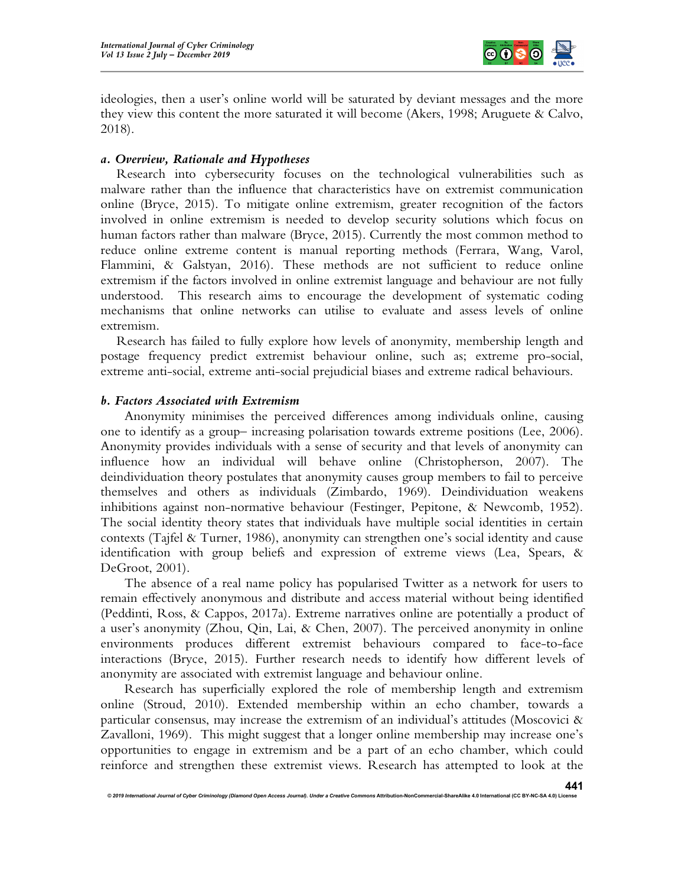

ideologies, then a user's online world will be saturated by deviant messages and the more they view this content the more saturated it will become (Akers, 1998; Aruguete & Calvo, 2018).

# a. Overview, Rationale and Hypotheses

Research into cybersecurity focuses on the technological vulnerabilities such as malware rather than the influence that characteristics have on extremist communication online (Bryce, 2015). To mitigate online extremism, greater recognition of the factors involved in online extremism is needed to develop security solutions which focus on human factors rather than malware (Bryce, 2015). Currently the most common method to reduce online extreme content is manual reporting methods (Ferrara, Wang, Varol, Flammini, & Galstyan, 2016). These methods are not sufficient to reduce online extremism if the factors involved in online extremist language and behaviour are not fully understood. This research aims to encourage the development of systematic coding mechanisms that online networks can utilise to evaluate and assess levels of online extremism.

Research has failed to fully explore how levels of anonymity, membership length and postage frequency predict extremist behaviour online, such as; extreme pro-social, extreme anti-social, extreme anti-social prejudicial biases and extreme radical behaviours.

#### b. Factors Associated with Extremism

Anonymity minimises the perceived differences among individuals online, causing one to identify as a group– increasing polarisation towards extreme positions (Lee, 2006). Anonymity provides individuals with a sense of security and that levels of anonymity can influence how an individual will behave online (Christopherson, 2007). The deindividuation theory postulates that anonymity causes group members to fail to perceive themselves and others as individuals (Zimbardo, 1969). Deindividuation weakens inhibitions against non-normative behaviour (Festinger, Pepitone, & Newcomb, 1952). The social identity theory states that individuals have multiple social identities in certain contexts (Tajfel & Turner, 1986), anonymity can strengthen one's social identity and cause identification with group beliefs and expression of extreme views (Lea, Spears, & DeGroot, 2001).

The absence of a real name policy has popularised Twitter as a network for users to remain effectively anonymous and distribute and access material without being identified (Peddinti, Ross, & Cappos, 2017a). Extreme narratives online are potentially a product of a user's anonymity (Zhou, Qin, Lai, & Chen, 2007). The perceived anonymity in online environments produces different extremist behaviours compared to face-to-face interactions (Bryce, 2015). Further research needs to identify how different levels of anonymity are associated with extremist language and behaviour online.

Research has superficially explored the role of membership length and extremism online (Stroud, 2010). Extended membership within an echo chamber, towards a particular consensus, may increase the extremism of an individual's attitudes (Moscovici & Zavalloni, 1969). This might suggest that a longer online membership may increase one's opportunities to engage in extremism and be a part of an echo chamber, which could reinforce and strengthen these extremist views. Research has attempted to look at the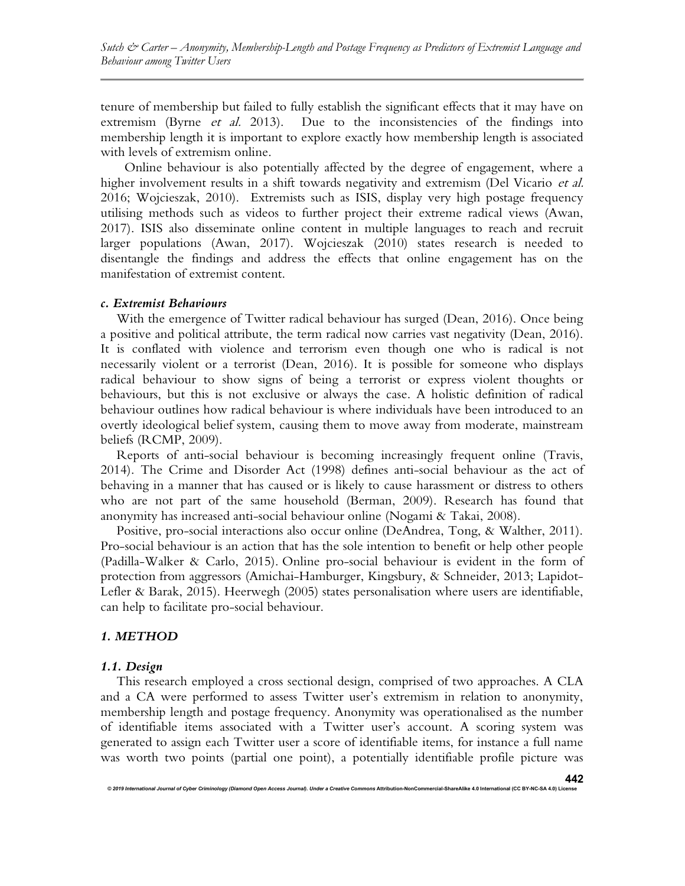tenure of membership but failed to fully establish the significant effects that it may have on extremism (Byrne *et al.* 2013). Due to the inconsistencies of the findings into membership length it is important to explore exactly how membership length is associated with levels of extremism online.

Online behaviour is also potentially affected by the degree of engagement, where a higher involvement results in a shift towards negativity and extremism (Del Vicario et al. 2016; Wojcieszak, 2010). Extremists such as ISIS, display very high postage frequency utilising methods such as videos to further project their extreme radical views (Awan, 2017). ISIS also disseminate online content in multiple languages to reach and recruit larger populations (Awan, 2017). Wojcieszak (2010) states research is needed to disentangle the findings and address the effects that online engagement has on the manifestation of extremist content.

#### c. Extremist Behaviours

With the emergence of Twitter radical behaviour has surged (Dean, 2016). Once being a positive and political attribute, the term radical now carries vast negativity (Dean, 2016). It is conflated with violence and terrorism even though one who is radical is not necessarily violent or a terrorist (Dean, 2016). It is possible for someone who displays radical behaviour to show signs of being a terrorist or express violent thoughts or behaviours, but this is not exclusive or always the case. A holistic definition of radical behaviour outlines how radical behaviour is where individuals have been introduced to an overtly ideological belief system, causing them to move away from moderate, mainstream beliefs (RCMP, 2009).

Reports of anti-social behaviour is becoming increasingly frequent online (Travis, 2014). The Crime and Disorder Act (1998) defines anti-social behaviour as the act of behaving in a manner that has caused or is likely to cause harassment or distress to others who are not part of the same household (Berman, 2009). Research has found that anonymity has increased anti-social behaviour online (Nogami & Takai, 2008).

Positive, pro-social interactions also occur online (DeAndrea, Tong, & Walther, 2011). Pro-social behaviour is an action that has the sole intention to benefit or help other people (Padilla-Walker & Carlo, 2015). Online pro-social behaviour is evident in the form of protection from aggressors (Amichai-Hamburger, Kingsbury, & Schneider, 2013; Lapidot-Lefler & Barak, 2015). Heerwegh (2005) states personalisation where users are identifiable, can help to facilitate pro-social behaviour.

#### 1. METHOD

#### 1.1. Design

This research employed a cross sectional design, comprised of two approaches. A CLA and a CA were performed to assess Twitter user's extremism in relation to anonymity, membership length and postage frequency. Anonymity was operationalised as the number of identifiable items associated with a Twitter user's account. A scoring system was generated to assign each Twitter user a score of identifiable items, for instance a full name was worth two points (partial one point), a potentially identifiable profile picture was

© 2019 International Journal of Cyber Criminology (Diamond Open Access Journal). Under a Creative Comm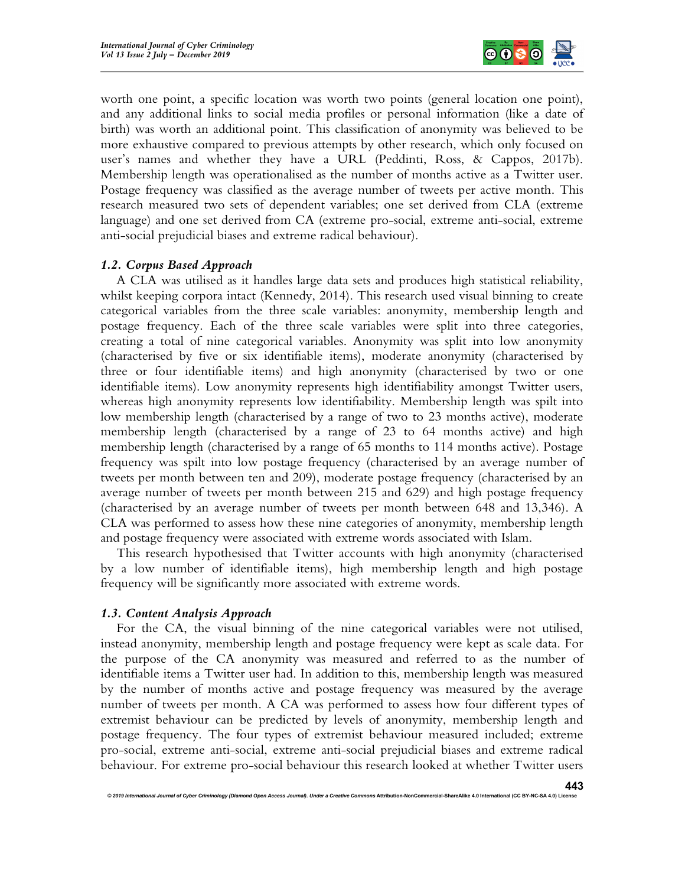

worth one point, a specific location was worth two points (general location one point), and any additional links to social media profiles or personal information (like a date of birth) was worth an additional point. This classification of anonymity was believed to be more exhaustive compared to previous attempts by other research, which only focused on user's names and whether they have a URL (Peddinti, Ross, & Cappos, 2017b). Membership length was operationalised as the number of months active as a Twitter user. Postage frequency was classified as the average number of tweets per active month. This research measured two sets of dependent variables; one set derived from CLA (extreme language) and one set derived from CA (extreme pro-social, extreme anti-social, extreme anti-social prejudicial biases and extreme radical behaviour).

# 1.2. Corpus Based Approach

A CLA was utilised as it handles large data sets and produces high statistical reliability, whilst keeping corpora intact (Kennedy, 2014). This research used visual binning to create categorical variables from the three scale variables: anonymity, membership length and postage frequency. Each of the three scale variables were split into three categories, creating a total of nine categorical variables. Anonymity was split into low anonymity (characterised by five or six identifiable items), moderate anonymity (characterised by three or four identifiable items) and high anonymity (characterised by two or one identifiable items). Low anonymity represents high identifiability amongst Twitter users, whereas high anonymity represents low identifiability. Membership length was spilt into low membership length (characterised by a range of two to 23 months active), moderate membership length (characterised by a range of 23 to 64 months active) and high membership length (characterised by a range of 65 months to 114 months active). Postage frequency was spilt into low postage frequency (characterised by an average number of tweets per month between ten and 209), moderate postage frequency (characterised by an average number of tweets per month between 215 and 629) and high postage frequency (characterised by an average number of tweets per month between 648 and 13,346). A CLA was performed to assess how these nine categories of anonymity, membership length and postage frequency were associated with extreme words associated with Islam.

This research hypothesised that Twitter accounts with high anonymity (characterised by a low number of identifiable items), high membership length and high postage frequency will be significantly more associated with extreme words.

#### 1.3. Content Analysis Approach

For the CA, the visual binning of the nine categorical variables were not utilised, instead anonymity, membership length and postage frequency were kept as scale data. For the purpose of the CA anonymity was measured and referred to as the number of identifiable items a Twitter user had. In addition to this, membership length was measured by the number of months active and postage frequency was measured by the average number of tweets per month. A CA was performed to assess how four different types of extremist behaviour can be predicted by levels of anonymity, membership length and postage frequency. The four types of extremist behaviour measured included; extreme pro-social, extreme anti-social, extreme anti-social prejudicial biases and extreme radical behaviour. For extreme pro-social behaviour this research looked at whether Twitter users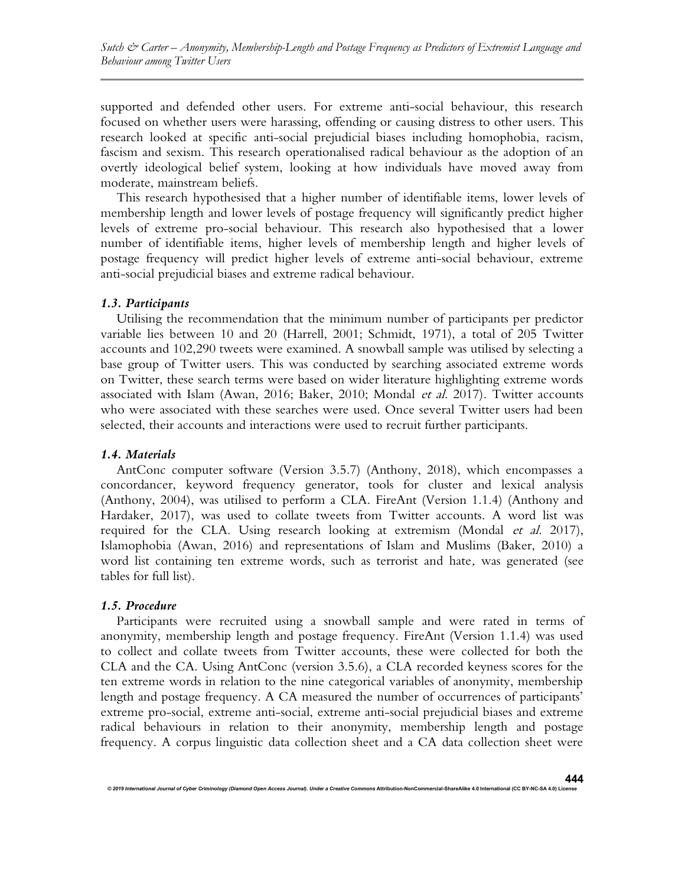supported and defended other users. For extreme anti-social behaviour, this research focused on whether users were harassing, offending or causing distress to other users. This research looked at specific anti-social prejudicial biases including homophobia, racism, fascism and sexism. This research operationalised radical behaviour as the adoption of an overtly ideological belief system, looking at how individuals have moved away from moderate, mainstream beliefs.

This research hypothesised that a higher number of identifiable items, lower levels of membership length and lower levels of postage frequency will significantly predict higher levels of extreme pro-social behaviour. This research also hypothesised that a lower number of identifiable items, higher levels of membership length and higher levels of postage frequency will predict higher levels of extreme anti-social behaviour, extreme anti-social prejudicial biases and extreme radical behaviour.

#### 1.3. Participants

Utilising the recommendation that the minimum number of participants per predictor variable lies between 10 and 20 (Harrell, 2001; Schmidt, 1971), a total of 205 Twitter accounts and 102,290 tweets were examined. A snowball sample was utilised by selecting a base group of Twitter users. This was conducted by searching associated extreme words on Twitter, these search terms were based on wider literature highlighting extreme words associated with Islam (Awan, 2016; Baker, 2010; Mondal et al. 2017). Twitter accounts who were associated with these searches were used. Once several Twitter users had been selected, their accounts and interactions were used to recruit further participants.

#### 1.4. Materials

AntConc computer software (Version 3.5.7) (Anthony, 2018), which encompasses a concordancer, keyword frequency generator, tools for cluster and lexical analysis (Anthony, 2004), was utilised to perform a CLA. FireAnt (Version 1.1.4) (Anthony and Hardaker, 2017), was used to collate tweets from Twitter accounts. A word list was required for the CLA. Using research looking at extremism (Mondal et al. 2017), Islamophobia (Awan, 2016) and representations of Islam and Muslims (Baker, 2010) a word list containing ten extreme words, such as terrorist and hate, was generated (see tables for full list).

#### 1.5. Procedure

Participants were recruited using a snowball sample and were rated in terms of anonymity, membership length and postage frequency. FireAnt (Version 1.1.4) was used to collect and collate tweets from Twitter accounts, these were collected for both the CLA and the CA. Using AntConc (version 3.5.6), a CLA recorded keyness scores for the ten extreme words in relation to the nine categorical variables of anonymity, membership length and postage frequency. A CA measured the number of occurrences of participants' extreme pro-social, extreme anti-social, extreme anti-social prejudicial biases and extreme radical behaviours in relation to their anonymity, membership length and postage frequency. A corpus linguistic data collection sheet and a CA data collection sheet were

onal Journal of Cyber Criminology (Diamond Open Access Journal). Under a Creative Commons Atternation-Noncommer<br>Internation-Noncommercial-ShareAlike 4.0 International (CC By-NC-SA 4.0) Distributional (CC By-NC-SA 4.0) Unit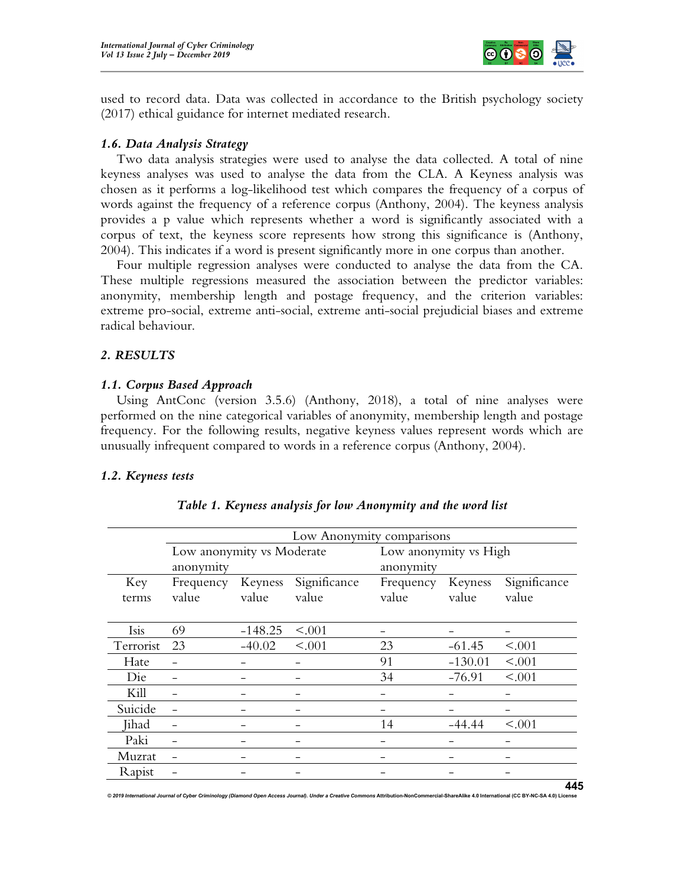

used to record data. Data was collected in accordance to the British psychology society (2017) ethical guidance for internet mediated research.

#### 1.6. Data Analysis Strategy

Two data analysis strategies were used to analyse the data collected. A total of nine keyness analyses was used to analyse the data from the CLA. A Keyness analysis was chosen as it performs a log-likelihood test which compares the frequency of a corpus of words against the frequency of a reference corpus (Anthony, 2004). The keyness analysis provides a p value which represents whether a word is significantly associated with a corpus of text, the keyness score represents how strong this significance is (Anthony, 2004). This indicates if a word is present significantly more in one corpus than another.

Four multiple regression analyses were conducted to analyse the data from the CA. These multiple regressions measured the association between the predictor variables: anonymity, membership length and postage frequency, and the criterion variables: extreme pro-social, extreme anti-social, extreme anti-social prejudicial biases and extreme radical behaviour.

#### 2. RESULTS

#### 1.1. Corpus Based Approach

Using AntConc (version 3.5.6) (Anthony, 2018), a total of nine analyses were performed on the nine categorical variables of anonymity, membership length and postage frequency. For the following results, negative keyness values represent words which are unusually infrequent compared to words in a reference corpus (Anthony, 2004).

#### 1.2. Keyness tests

|           | Low Anonymity comparisons |           |              |           |                       |              |  |  |
|-----------|---------------------------|-----------|--------------|-----------|-----------------------|--------------|--|--|
|           | Low anonymity vs Moderate |           |              |           | Low anonymity vs High |              |  |  |
|           | anonymity                 |           |              | anonymity |                       |              |  |  |
| Key       | Frequency                 | Keyness   | Significance | Frequency | Keyness               | Significance |  |  |
| terms     | value                     | value     | value        | value     | value                 | value        |  |  |
|           |                           |           |              |           |                       |              |  |  |
| Isis      | 69                        | $-148.25$ | < .001       |           |                       |              |  |  |
| Terrorist | 23                        | $-40.02$  | < .001       | 23        | $-61.45$              | < .001       |  |  |
| Hate      |                           |           |              | 91        | $-130.01$             | < .001       |  |  |
| Die       |                           |           |              | 34        | $-76.91$              | < .001       |  |  |
| Kill      |                           |           |              |           |                       |              |  |  |
| Suicide   |                           |           |              |           |                       |              |  |  |
| Jihad     |                           |           |              | 14        | $-44.44$              | < .001       |  |  |
| Paki      |                           |           |              |           |                       |              |  |  |
| Muzrat    |                           |           |              |           |                       |              |  |  |
| Rapist    |                           |           |              |           |                       |              |  |  |

#### Table 1. Keyness analysis for low Anonymity and the word list

© 2019 International Journal of Cyber Criminology (Diamond Open Access Journal). Under a Creative Commons Attribution-NonCommercial-ShareAlike 4.0 International (CC BY-NC-SA 4.0) Licen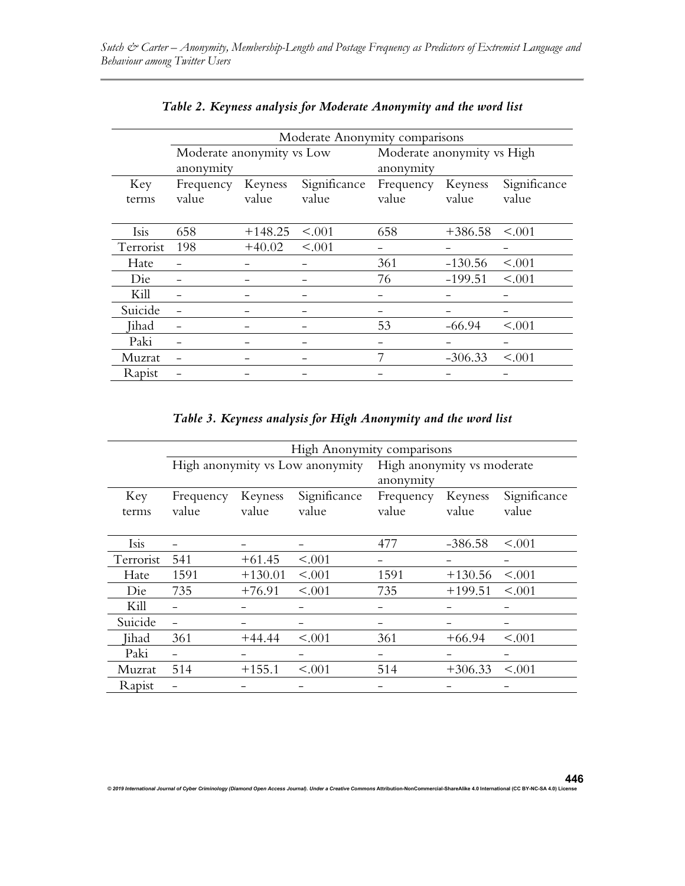|              | Moderate Anonymity comparisons         |                  |                       |                                         |                  |                       |  |  |
|--------------|----------------------------------------|------------------|-----------------------|-----------------------------------------|------------------|-----------------------|--|--|
|              | Moderate anonymity vs Low<br>anonymity |                  |                       | Moderate anonymity vs High<br>anonymity |                  |                       |  |  |
| Key<br>terms | Frequency<br>value                     | Keyness<br>value | Significance<br>value | Frequency<br>value                      | Keyness<br>value | Significance<br>value |  |  |
| Isis         | 658                                    | $+148.25$        | < .001                | 658                                     | $+386.58$        | < .001                |  |  |
| Terrorist    | 198                                    | $+40.02$         | < .001                |                                         |                  |                       |  |  |
| Hate         |                                        |                  |                       | 361                                     | $-130.56$        | < .001                |  |  |
| Die          |                                        |                  |                       | 76                                      | $-199.51$        | < .001                |  |  |
| Kill         |                                        |                  |                       |                                         |                  |                       |  |  |
| Suicide      |                                        |                  |                       |                                         |                  |                       |  |  |
| Jihad        |                                        |                  |                       | 53                                      | $-66.94$         | < .001                |  |  |
| Paki         |                                        |                  |                       |                                         |                  |                       |  |  |
| Muzrat       |                                        |                  |                       |                                         | $-306.33$        | < .001                |  |  |
| Rapist       |                                        |                  |                       |                                         |                  |                       |  |  |

Table 3. Keyness analysis for High Anonymity and the word list

|           | High Anonymity comparisons      |           |              |                                         |           |              |
|-----------|---------------------------------|-----------|--------------|-----------------------------------------|-----------|--------------|
|           | High anonymity vs Low anonymity |           |              | High anonymity vs moderate<br>anonymity |           |              |
| Key       | Frequency                       | Keyness   | Significance | Frequency                               | Keyness   | Significance |
| terms     | value                           | value     | value        | value                                   | value     | value        |
|           |                                 |           |              |                                         |           |              |
| Isis      |                                 |           |              | 477                                     | $-386.58$ | < .001       |
| Terrorist | 541                             | $+61.45$  | < .001       |                                         |           |              |
| Hate      | 1591                            | $+130.01$ | < .001       | 1591                                    | $+130.56$ | < .001       |
| Die       | 735                             | $+76.91$  | < .001       | 735                                     | $+199.51$ | < 0.001      |
| Kill      |                                 |           |              |                                         |           |              |
| Suicide   |                                 |           |              |                                         |           |              |
| Jihad     | 361                             | $+44.44$  | < .001       | 361                                     | $+66.94$  | < .001       |
| Paki      |                                 |           |              |                                         |           |              |
| Muzrat    | 514                             | $+155.1$  | < .001       | 514                                     | $+306.33$ | < 0.001      |
| Rapist    |                                 |           |              |                                         |           |              |

446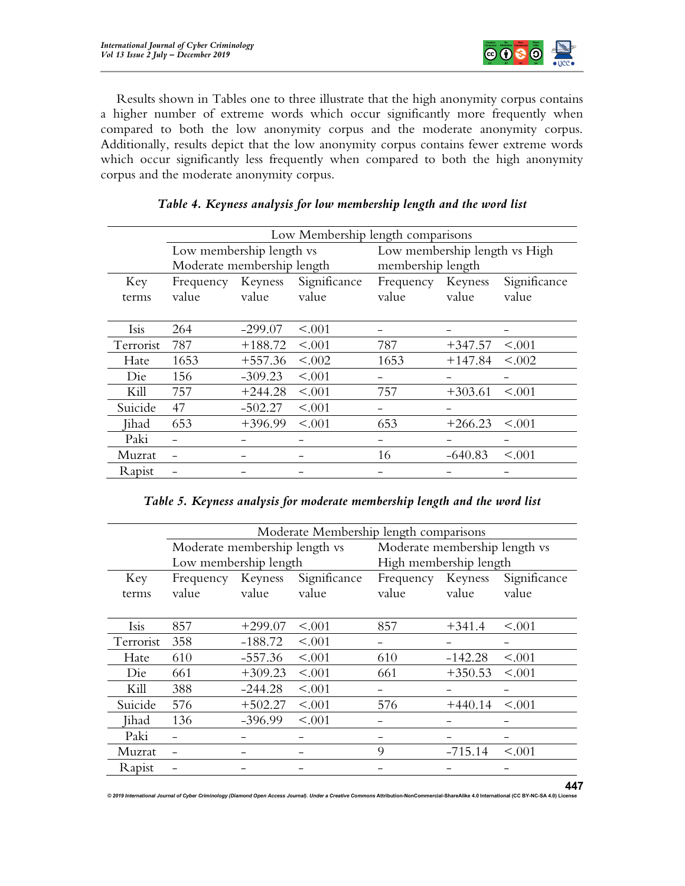

Results shown in Tables one to three illustrate that the high anonymity corpus contains a higher number of extreme words which occur significantly more frequently when compared to both the low anonymity corpus and the moderate anonymity corpus. Additionally, results depict that the low anonymity corpus contains fewer extreme words which occur significantly less frequently when compared to both the high anonymity corpus and the moderate anonymity corpus.

|              | Low Membership length comparisons |           |                       |                               |           |                       |  |
|--------------|-----------------------------------|-----------|-----------------------|-------------------------------|-----------|-----------------------|--|
|              | Low membership length vs          |           |                       | Low membership length vs High |           |                       |  |
|              | Moderate membership length        |           |                       | membership length             |           |                       |  |
| Key<br>terms | Frequency Keyness<br>value        | value     | Significance<br>value | Frequency Keyness<br>value    | value     | Significance<br>value |  |
| Isis         | 264                               | $-299.07$ | < .001                |                               |           |                       |  |
| Terrorist    | 787                               | $+188.72$ | < .001                | 787                           | $+347.57$ | < .001                |  |
| Hate         | 1653                              | $+557.36$ | < .002                | 1653                          | $+147.84$ | < .002                |  |
| Die          | 156                               | $-309.23$ | < .001                |                               |           |                       |  |
| Kill         | 757                               | $+244.28$ | < .001                | 757                           | $+303.61$ | < .001                |  |
| Suicide      | 47                                | $-502.27$ | < .001                | -                             |           |                       |  |
| Jihad        | 653                               | $+396.99$ | < .001                | 653                           | $+266.23$ | < 0.001               |  |
| Paki         |                                   |           |                       |                               |           |                       |  |
| Muzrat       |                                   |           |                       | 16                            | $-640.83$ | < .001                |  |
| Rapist       |                                   |           |                       |                               |           |                       |  |

# Table 4. Keyness analysis for low membership length and the word list

|  |  | Table 5. Keyness analysis for moderate membership length and the word list |
|--|--|----------------------------------------------------------------------------|
|  |  |                                                                            |

|           | Moderate Membership length comparisons |           |              |                        |                               |              |  |
|-----------|----------------------------------------|-----------|--------------|------------------------|-------------------------------|--------------|--|
|           | Moderate membership length vs          |           |              |                        | Moderate membership length vs |              |  |
|           | Low membership length                  |           |              | High membership length |                               |              |  |
| Key       | Frequency Keyness                      |           | Significance | Frequency Keyness      |                               | Significance |  |
| terms     | value                                  | value     | value        | value                  | value                         | value        |  |
|           |                                        |           |              |                        |                               |              |  |
| Isis      | 857                                    | $+299.07$ | < .001       | 857                    | $+341.4$                      | < 0.001      |  |
| Terrorist | 358                                    | $-188.72$ | < .001       |                        |                               |              |  |
| Hate      | 610                                    | $-557.36$ | < .001       | 610                    | $-142.28$                     | < .001       |  |
| Die       | 661                                    | $+309.23$ | < .001       | 661                    | $+350.53$                     | < 0.001      |  |
| Kill      | 388                                    | $-244.28$ | < .001       |                        |                               |              |  |
| Suicide   | 576                                    | $+502.27$ | < .001       | 576                    | $+440.14$                     | < 0.001      |  |
| Jihad     | 136                                    | $-396.99$ | < .001       |                        |                               |              |  |
| Paki      |                                        |           |              |                        |                               |              |  |
| Muzrat    |                                        |           |              | 9                      | $-715.14$                     | < .001       |  |
| Rapist    |                                        |           |              |                        |                               |              |  |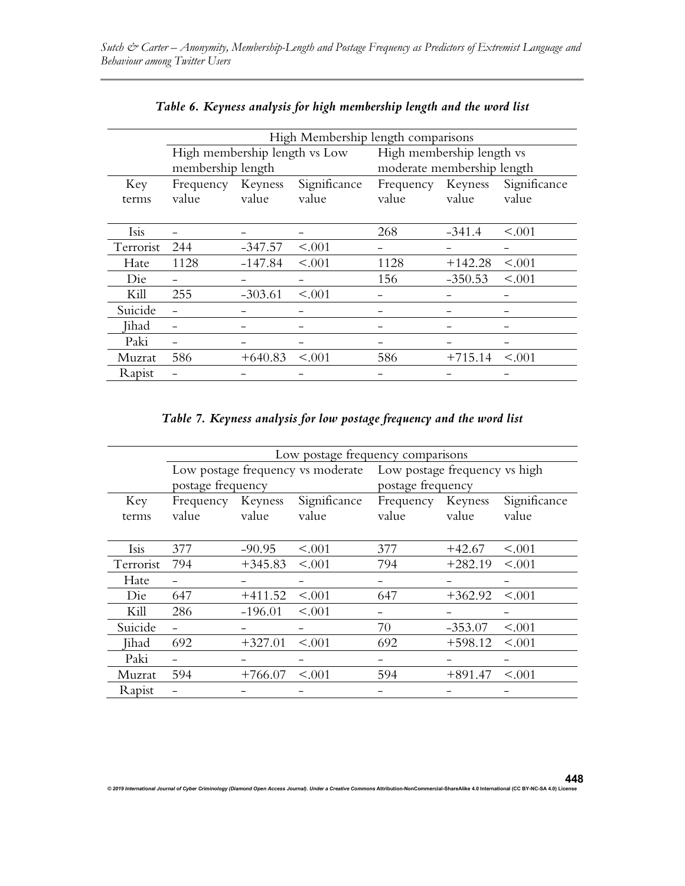|           | High Membership length comparisons |           |              |                            |           |              |  |  |
|-----------|------------------------------------|-----------|--------------|----------------------------|-----------|--------------|--|--|
|           | High membership length vs Low      |           |              | High membership length vs  |           |              |  |  |
|           | membership length                  |           |              | moderate membership length |           |              |  |  |
| Key       | Frequency Keyness                  |           | Significance | Frequency Keyness          |           | Significance |  |  |
| terms     | value                              | value     | value        | value                      | value     | value        |  |  |
|           |                                    |           |              |                            |           |              |  |  |
| Isis      |                                    |           |              | 268                        | $-341.4$  | < 0.001      |  |  |
| Terrorist | 244                                | $-347.57$ | < .001       |                            |           |              |  |  |
| Hate      | 1128                               | $-147.84$ | < .001       | 1128                       | $+142.28$ | < .001       |  |  |
| Die       |                                    |           |              | 156                        | $-350.53$ | < 0.001      |  |  |
| Kill      | 255                                | $-303.61$ | < .001       |                            |           |              |  |  |
| Suicide   |                                    |           |              |                            |           |              |  |  |
| Jihad     |                                    |           |              |                            |           |              |  |  |
| Paki      |                                    |           |              |                            |           |              |  |  |
| Muzrat    | 586                                | $+640.83$ | < .001       | 586                        | $+715.14$ | < 0.001      |  |  |
| Rapist    |                                    |           |              |                            |           |              |  |  |

| Table 6. Keyness analysis for high membership length and the word list |  |
|------------------------------------------------------------------------|--|
|------------------------------------------------------------------------|--|

Table 7. Keyness analysis for low postage frequency and the word list

|           | Low postage frequency comparisons                      |           |              |                                                    |           |              |  |
|-----------|--------------------------------------------------------|-----------|--------------|----------------------------------------------------|-----------|--------------|--|
|           | Low postage frequency vs moderate<br>postage frequency |           |              | Low postage frequency vs high<br>postage frequency |           |              |  |
| Key       | Frequency Keyness                                      |           | Significance | Frequency Keyness                                  |           | Significance |  |
| terms     | value                                                  | value     | value        | value                                              | value     | value        |  |
|           |                                                        |           |              |                                                    |           |              |  |
| Isis      | 377                                                    | $-90.95$  | < .001       | 377                                                | $+42.67$  | < .001       |  |
| Terrorist | 794                                                    | $+345.83$ | < .001       | 794                                                | $+282.19$ | < 0.001      |  |
| Hate      |                                                        |           |              |                                                    |           |              |  |
| Die       | 647                                                    | $+411.52$ | < .001       | 647                                                | $+362.92$ | < .001       |  |
| Kill      | 286                                                    | $-196.01$ | < .001       |                                                    |           |              |  |
| Suicide   |                                                        |           |              | 70                                                 | $-353.07$ | < .001       |  |
| Jihad     | 692                                                    | $+327.01$ | < .001       | 692                                                | $+598.12$ | < .001       |  |
| Paki      |                                                        |           |              |                                                    |           |              |  |
| Muzrat    | 594                                                    | $+766.07$ | < .001       | 594                                                | $+891.47$ | < .001       |  |
| Rapist    |                                                        |           |              |                                                    |           |              |  |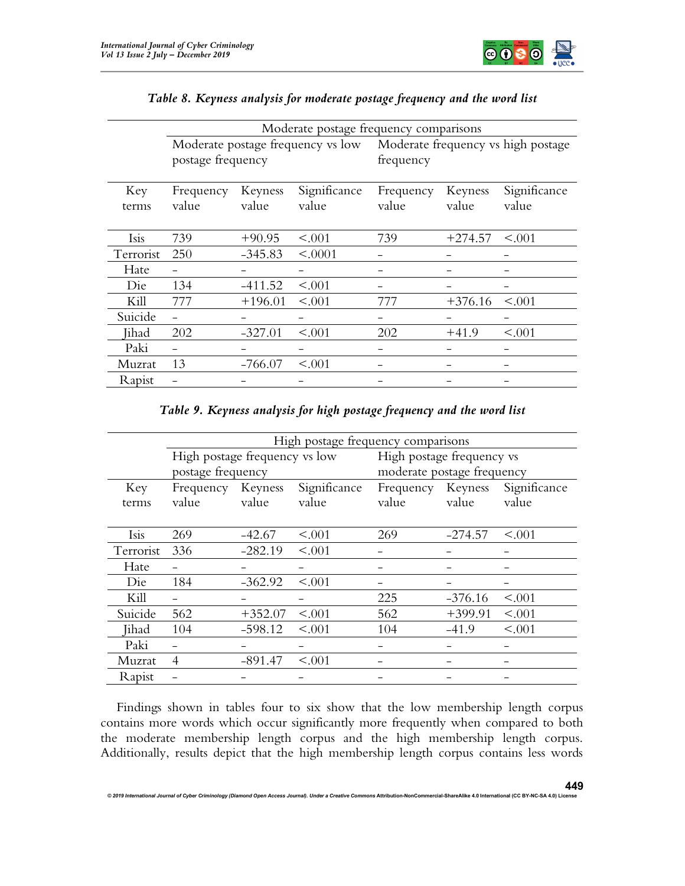

|              | Moderate postage frequency comparisons |           |              |                                    |           |              |  |
|--------------|----------------------------------------|-----------|--------------|------------------------------------|-----------|--------------|--|
|              | Moderate postage frequency vs low      |           |              | Moderate frequency vs high postage |           |              |  |
|              | postage frequency                      |           |              | frequency                          |           |              |  |
|              |                                        |           |              |                                    |           |              |  |
| Key          | Frequency                              | Keyness   | Significance | Frequency                          | Keyness   | Significance |  |
| terms        | value                                  | value     | value        | value                              | value     | value        |  |
|              |                                        |           |              |                                    |           |              |  |
| Isis         | 739                                    | $+90.95$  | < 0.001      | 739                                | $+274.57$ | < 0.001      |  |
| Terrorist    | 250                                    | $-345.83$ | < .0001      |                                    |           |              |  |
| Hate         |                                        |           |              |                                    |           |              |  |
| Die          | 134                                    | $-411.52$ | < .001       |                                    |           |              |  |
| Kill         | 777                                    | $+196.01$ | < .001       | 777                                | $+376.16$ | < .001       |  |
| Suicide      |                                        |           |              |                                    |           |              |  |
| <b>Jihad</b> | 202                                    | $-327.01$ | < .001       | 202                                | $+41.9$   | < .001       |  |
| Paki         |                                        |           |              |                                    |           |              |  |
| Muzrat       | 13                                     | $-766.07$ | < .001       |                                    |           |              |  |
| Rapist       |                                        |           |              |                                    |           |              |  |

# Table 8. Keyness analysis for moderate postage frequency and the word list

Table 9. Keyness analysis for high postage frequency and the word list

|           | High postage frequency comparisons |           |              |                            |           |              |  |  |
|-----------|------------------------------------|-----------|--------------|----------------------------|-----------|--------------|--|--|
|           | High postage frequency vs low      |           |              | High postage frequency vs  |           |              |  |  |
|           | postage frequency                  |           |              | moderate postage frequency |           |              |  |  |
| Key       | Frequency Keyness                  |           | Significance | Frequency Keyness          |           | Significance |  |  |
| terms     | value                              | value     | value        | value                      | value     | value        |  |  |
|           |                                    |           |              |                            |           |              |  |  |
| Isis      | 269                                | $-42.67$  | < .001       | 269                        | $-274.57$ | < 0.001      |  |  |
| Terrorist | 336                                | $-282.19$ | < .001       |                            |           |              |  |  |
| Hate      |                                    |           |              |                            |           |              |  |  |
| Die       | 184                                | $-362.92$ | < .001       |                            |           |              |  |  |
| Kill      |                                    |           |              | 225                        | $-376.16$ | < .001       |  |  |
| Suicide   | 562                                | $+352.07$ | < .001       | 562                        | $+399.91$ | < .001       |  |  |
| Jihad     | 104                                | $-598.12$ | < .001       | 104                        | $-41.9$   | < .001       |  |  |
| Paki      |                                    |           |              |                            |           |              |  |  |
| Muzrat    | 4                                  | $-891.47$ | < .001       |                            |           |              |  |  |
| Rapist    |                                    |           |              |                            |           |              |  |  |

Findings shown in tables four to six show that the low membership length corpus contains more words which occur significantly more frequently when compared to both the moderate membership length corpus and the high membership length corpus. Additionally, results depict that the high membership length corpus contains less words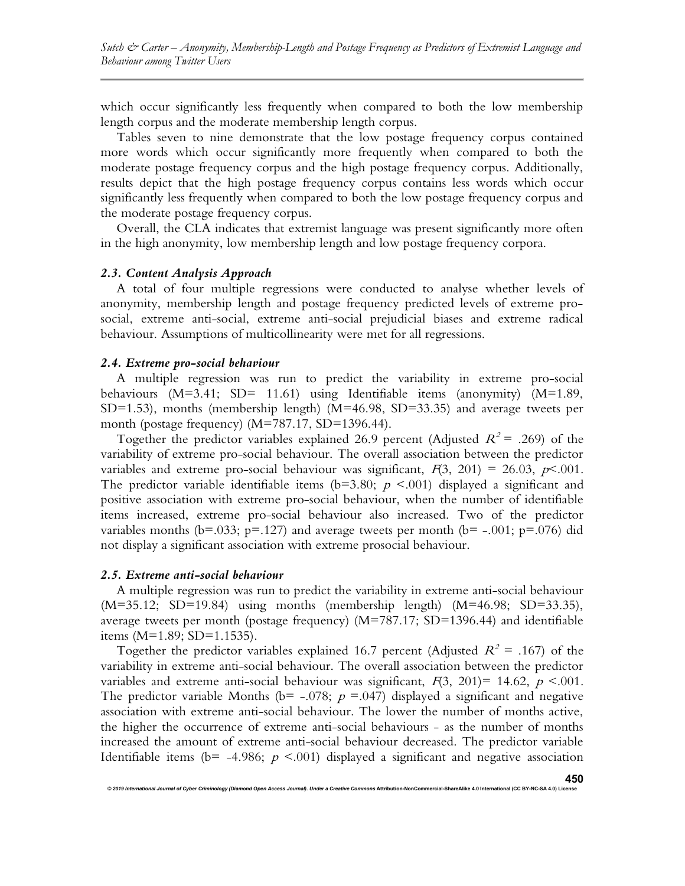which occur significantly less frequently when compared to both the low membership length corpus and the moderate membership length corpus.

Tables seven to nine demonstrate that the low postage frequency corpus contained more words which occur significantly more frequently when compared to both the moderate postage frequency corpus and the high postage frequency corpus. Additionally, results depict that the high postage frequency corpus contains less words which occur significantly less frequently when compared to both the low postage frequency corpus and the moderate postage frequency corpus.

Overall, the CLA indicates that extremist language was present significantly more often in the high anonymity, low membership length and low postage frequency corpora.

#### 2.3. Content Analysis Approach

A total of four multiple regressions were conducted to analyse whether levels of anonymity, membership length and postage frequency predicted levels of extreme prosocial, extreme anti-social, extreme anti-social prejudicial biases and extreme radical behaviour. Assumptions of multicollinearity were met for all regressions.

#### 2.4. Extreme pro-social behaviour

A multiple regression was run to predict the variability in extreme pro-social behaviours (M=3.41; SD= 11.61) using Identifiable items (anonymity) (M=1.89, SD=1.53), months (membership length) (M=46.98, SD=33.35) and average tweets per month (postage frequency) (M=787.17, SD=1396.44).

Together the predictor variables explained 26.9 percent (Adjusted  $R^2$  = .269) of the variability of extreme pro-social behaviour. The overall association between the predictor variables and extreme pro-social behaviour was significant,  $F(3, 201) = 26.03$ ,  $p \le 0.001$ . The predictor variable identifiable items (b=3.80;  $p \le 0.001$ ) displayed a significant and positive association with extreme pro-social behaviour, when the number of identifiable items increased, extreme pro-social behaviour also increased. Two of the predictor variables months (b=.033; p=.127) and average tweets per month (b= -.001; p=.076) did not display a significant association with extreme prosocial behaviour.

# 2.5. Extreme anti-social behaviour

A multiple regression was run to predict the variability in extreme anti-social behaviour (M=35.12; SD=19.84) using months (membership length) (M=46.98; SD=33.35), average tweets per month (postage frequency) (M=787.17; SD=1396.44) and identifiable items (M=1.89; SD=1.1535).

Together the predictor variables explained 16.7 percent (Adjusted  $R^2 = .167$ ) of the variability in extreme anti-social behaviour. The overall association between the predictor variables and extreme anti-social behaviour was significant,  $F(3, 201) = 14.62$ ,  $p < .001$ . The predictor variable Months (b= -.078;  $p = .047$ ) displayed a significant and negative association with extreme anti-social behaviour. The lower the number of months active, the higher the occurrence of extreme anti-social behaviours - as the number of months increased the amount of extreme anti-social behaviour decreased. The predictor variable Identifiable items ( $b$ = -4.986;  $p$  <.001) displayed a significant and negative association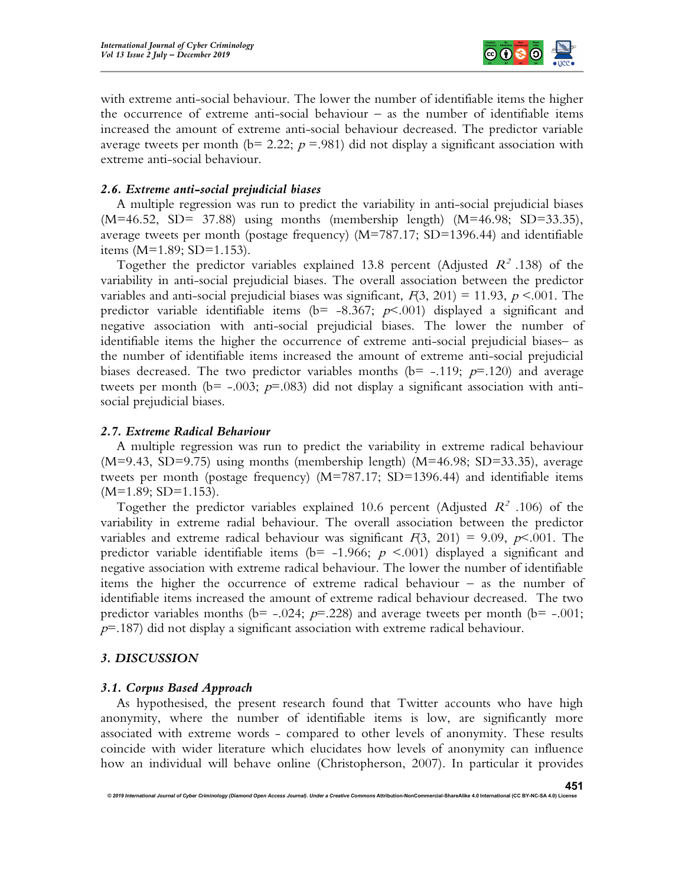

with extreme anti-social behaviour. The lower the number of identifiable items the higher the occurrence of extreme anti-social behaviour – as the number of identifiable items increased the amount of extreme anti-social behaviour decreased. The predictor variable average tweets per month ( $b = 2.22$ ;  $p = .981$ ) did not display a significant association with extreme anti-social behaviour.

### 2.6. Extreme anti-social prejudicial biases

A multiple regression was run to predict the variability in anti-social prejudicial biases  $(M=46.52, SD= 37.88)$  using months (membership length)  $(M=46.98; SD=33.35)$ , average tweets per month (postage frequency)  $(M=787.17; SD=1396.44)$  and identifiable items (M=1.89; SD=1.153).

Together the predictor variables explained 13.8 percent (Adjusted  $R^2$  .138) of the variability in anti-social prejudicial biases. The overall association between the predictor variables and anti-social prejudicial biases was significant,  $F(3, 201) = 11.93$ ,  $p < .001$ . The predictor variable identifiable items ( $b$ = -8.367;  $p$ <.001) displayed a significant and negative association with anti-social prejudicial biases. The lower the number of identifiable items the higher the occurrence of extreme anti-social prejudicial biases– as the number of identifiable items increased the amount of extreme anti-social prejudicial biases decreased. The two predictor variables months ( $b$ = -.119;  $p$ =.120) and average tweets per month (b= -.003;  $p=0.083$ ) did not display a significant association with antisocial prejudicial biases.

#### 2.7. Extreme Radical Behaviour

A multiple regression was run to predict the variability in extreme radical behaviour  $(M=9.43, SD=9.75)$  using months (membership length)  $(M=46.98; SD=33.35)$ , average tweets per month (postage frequency) (M=787.17; SD=1396.44) and identifiable items  $(M=1.89; SD=1.153)$ .

Together the predictor variables explained 10.6 percent (Adjusted  $R^2$  .106) of the variability in extreme radial behaviour. The overall association between the predictor variables and extreme radical behaviour was significant  $F(3, 201) = 9.09$ ,  $p \le 0.001$ . The predictor variable identifiable items ( $b$ = -1.966;  $p$  <.001) displayed a significant and negative association with extreme radical behaviour. The lower the number of identifiable items the higher the occurrence of extreme radical behaviour – as the number of identifiable items increased the amount of extreme radical behaviour decreased. The two predictor variables months ( $b = -.024$ ;  $p = .228$ ) and average tweets per month ( $b = -.001$ ;  $p=187$ ) did not display a significant association with extreme radical behaviour.

#### 3. DISCUSSION

#### 3.1. Corpus Based Approach

As hypothesised, the present research found that Twitter accounts who have high anonymity, where the number of identifiable items is low, are significantly more associated with extreme words - compared to other levels of anonymity. These results coincide with wider literature which elucidates how levels of anonymity can influence how an individual will behave online (Christopherson, 2007). In particular it provides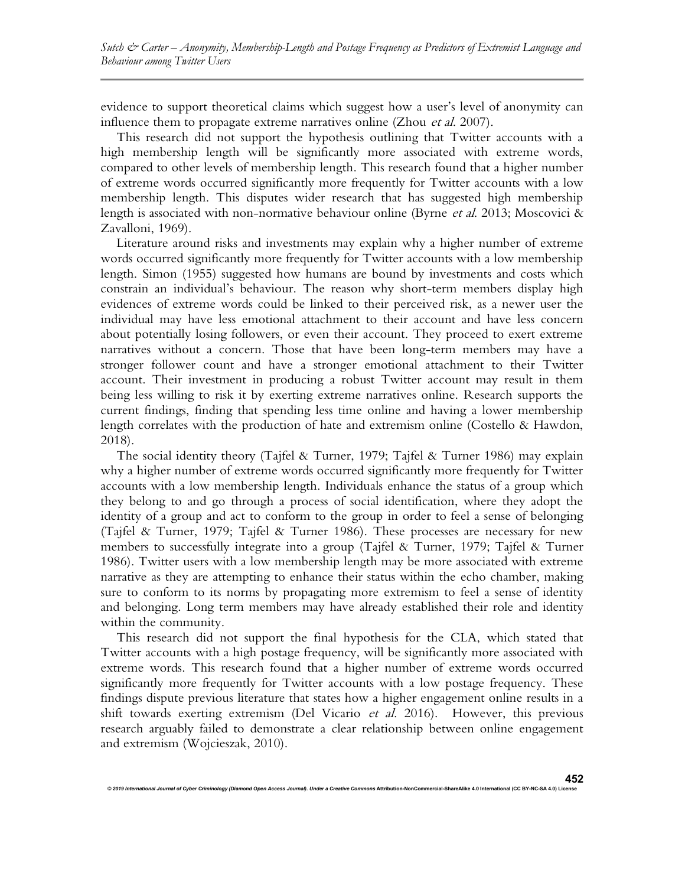evidence to support theoretical claims which suggest how a user's level of anonymity can influence them to propagate extreme narratives online (Zhou *et al.* 2007).

This research did not support the hypothesis outlining that Twitter accounts with a high membership length will be significantly more associated with extreme words, compared to other levels of membership length. This research found that a higher number of extreme words occurred significantly more frequently for Twitter accounts with a low membership length. This disputes wider research that has suggested high membership length is associated with non-normative behaviour online (Byrne et al. 2013; Moscovici & Zavalloni, 1969).

Literature around risks and investments may explain why a higher number of extreme words occurred significantly more frequently for Twitter accounts with a low membership length. Simon (1955) suggested how humans are bound by investments and costs which constrain an individual's behaviour. The reason why short-term members display high evidences of extreme words could be linked to their perceived risk, as a newer user the individual may have less emotional attachment to their account and have less concern about potentially losing followers, or even their account. They proceed to exert extreme narratives without a concern. Those that have been long-term members may have a stronger follower count and have a stronger emotional attachment to their Twitter account. Their investment in producing a robust Twitter account may result in them being less willing to risk it by exerting extreme narratives online. Research supports the current findings, finding that spending less time online and having a lower membership length correlates with the production of hate and extremism online (Costello & Hawdon, 2018).

The social identity theory (Tajfel & Turner, 1979; Tajfel & Turner 1986) may explain why a higher number of extreme words occurred significantly more frequently for Twitter accounts with a low membership length. Individuals enhance the status of a group which they belong to and go through a process of social identification, where they adopt the identity of a group and act to conform to the group in order to feel a sense of belonging (Tajfel & Turner, 1979; Tajfel & Turner 1986). These processes are necessary for new members to successfully integrate into a group (Tajfel & Turner, 1979; Tajfel & Turner 1986). Twitter users with a low membership length may be more associated with extreme narrative as they are attempting to enhance their status within the echo chamber, making sure to conform to its norms by propagating more extremism to feel a sense of identity and belonging. Long term members may have already established their role and identity within the community.

This research did not support the final hypothesis for the CLA, which stated that Twitter accounts with a high postage frequency, will be significantly more associated with extreme words. This research found that a higher number of extreme words occurred significantly more frequently for Twitter accounts with a low postage frequency. These findings dispute previous literature that states how a higher engagement online results in a shift towards exerting extremism (Del Vicario et al. 2016). However, this previous research arguably failed to demonstrate a clear relationship between online engagement and extremism (Wojcieszak, 2010).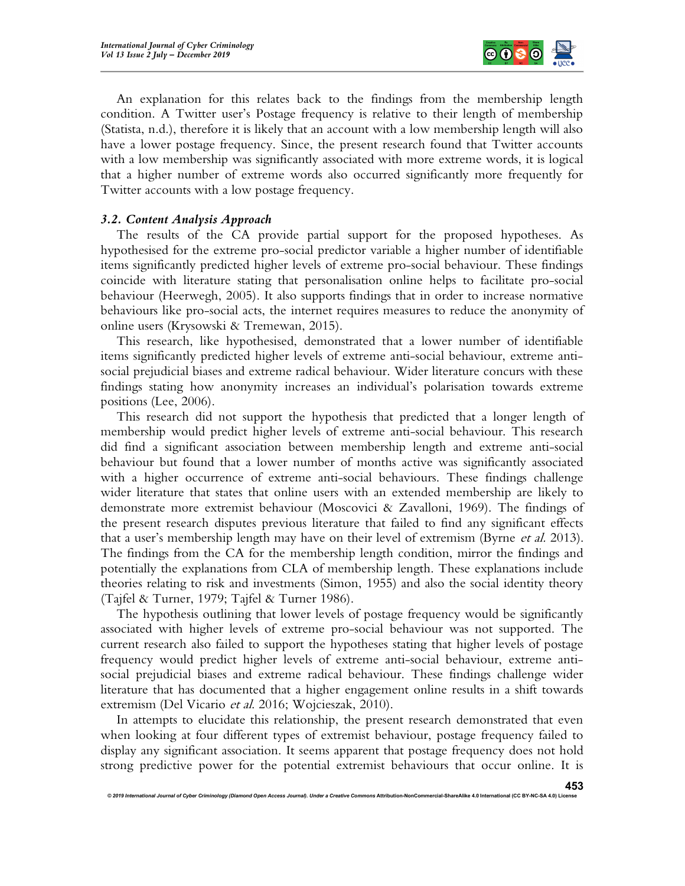

An explanation for this relates back to the findings from the membership length condition. A Twitter user's Postage frequency is relative to their length of membership (Statista, n.d.), therefore it is likely that an account with a low membership length will also have a lower postage frequency. Since, the present research found that Twitter accounts with a low membership was significantly associated with more extreme words, it is logical that a higher number of extreme words also occurred significantly more frequently for Twitter accounts with a low postage frequency.

# 3.2. Content Analysis Approach

The results of the CA provide partial support for the proposed hypotheses. As hypothesised for the extreme pro-social predictor variable a higher number of identifiable items significantly predicted higher levels of extreme pro-social behaviour. These findings coincide with literature stating that personalisation online helps to facilitate pro-social behaviour (Heerwegh, 2005). It also supports findings that in order to increase normative behaviours like pro-social acts, the internet requires measures to reduce the anonymity of online users (Krysowski & Tremewan, 2015).

This research, like hypothesised, demonstrated that a lower number of identifiable items significantly predicted higher levels of extreme anti-social behaviour, extreme antisocial prejudicial biases and extreme radical behaviour. Wider literature concurs with these findings stating how anonymity increases an individual's polarisation towards extreme positions (Lee, 2006).

This research did not support the hypothesis that predicted that a longer length of membership would predict higher levels of extreme anti-social behaviour. This research did find a significant association between membership length and extreme anti-social behaviour but found that a lower number of months active was significantly associated with a higher occurrence of extreme anti-social behaviours. These findings challenge wider literature that states that online users with an extended membership are likely to demonstrate more extremist behaviour (Moscovici & Zavalloni, 1969). The findings of the present research disputes previous literature that failed to find any significant effects that a user's membership length may have on their level of extremism (Byrne *et al.* 2013). The findings from the CA for the membership length condition, mirror the findings and potentially the explanations from CLA of membership length. These explanations include theories relating to risk and investments (Simon, 1955) and also the social identity theory (Tajfel & Turner, 1979; Tajfel & Turner 1986).

The hypothesis outlining that lower levels of postage frequency would be significantly associated with higher levels of extreme pro-social behaviour was not supported. The current research also failed to support the hypotheses stating that higher levels of postage frequency would predict higher levels of extreme anti-social behaviour, extreme antisocial prejudicial biases and extreme radical behaviour. These findings challenge wider literature that has documented that a higher engagement online results in a shift towards extremism (Del Vicario et al. 2016; Wojcieszak, 2010).

In attempts to elucidate this relationship, the present research demonstrated that even when looking at four different types of extremist behaviour, postage frequency failed to display any significant association. It seems apparent that postage frequency does not hold strong predictive power for the potential extremist behaviours that occur online. It is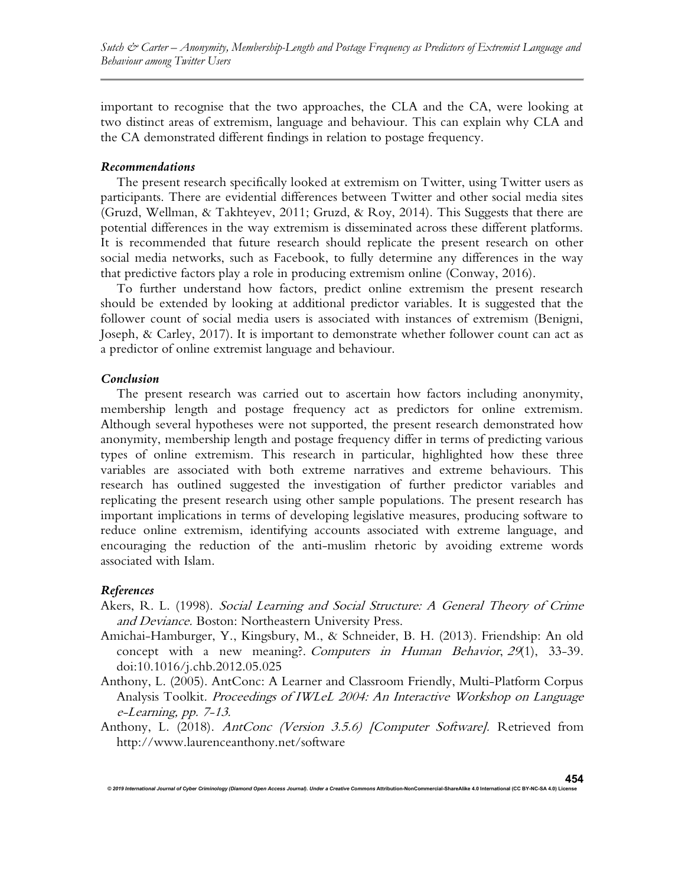important to recognise that the two approaches, the CLA and the CA, were looking at two distinct areas of extremism, language and behaviour. This can explain why CLA and the CA demonstrated different findings in relation to postage frequency.

#### Recommendations

The present research specifically looked at extremism on Twitter, using Twitter users as participants. There are evidential differences between Twitter and other social media sites (Gruzd, Wellman, & Takhteyev, 2011; Gruzd, & Roy, 2014). This Suggests that there are potential differences in the way extremism is disseminated across these different platforms. It is recommended that future research should replicate the present research on other social media networks, such as Facebook, to fully determine any differences in the way that predictive factors play a role in producing extremism online (Conway, 2016).

To further understand how factors, predict online extremism the present research should be extended by looking at additional predictor variables. It is suggested that the follower count of social media users is associated with instances of extremism (Benigni, Joseph, & Carley, 2017). It is important to demonstrate whether follower count can act as a predictor of online extremist language and behaviour.

#### Conclusion

The present research was carried out to ascertain how factors including anonymity, membership length and postage frequency act as predictors for online extremism. Although several hypotheses were not supported, the present research demonstrated how anonymity, membership length and postage frequency differ in terms of predicting various types of online extremism. This research in particular, highlighted how these three variables are associated with both extreme narratives and extreme behaviours. This research has outlined suggested the investigation of further predictor variables and replicating the present research using other sample populations. The present research has important implications in terms of developing legislative measures, producing software to reduce online extremism, identifying accounts associated with extreme language, and encouraging the reduction of the anti-muslim rhetoric by avoiding extreme words associated with Islam.

#### References

- Akers, R. L. (1998). Social Learning and Social Structure: A General Theory of Crime and Deviance. Boston: Northeastern University Press.
- Amichai-Hamburger, Y., Kingsbury, M., & Schneider, B. H. (2013). Friendship: An old concept with a new meaning?. Computers in Human Behavior, 29(1), 33-39. doi:10.1016/j.chb.2012.05.025
- Anthony, L. (2005). AntConc: A Learner and Classroom Friendly, Multi-Platform Corpus Analysis Toolkit. Proceedings of IWLeL 2004: An Interactive Workshop on Language e-Learning, pp. 7-13.
- Anthony, L. (2018). AntConc (Version 3.5.6) [Computer Software]. Retrieved from http://www.laurenceanthony.net/software

© 2019 International Journal of Cyber Criminology (Diamond Open Access Journal). Under a Creative Con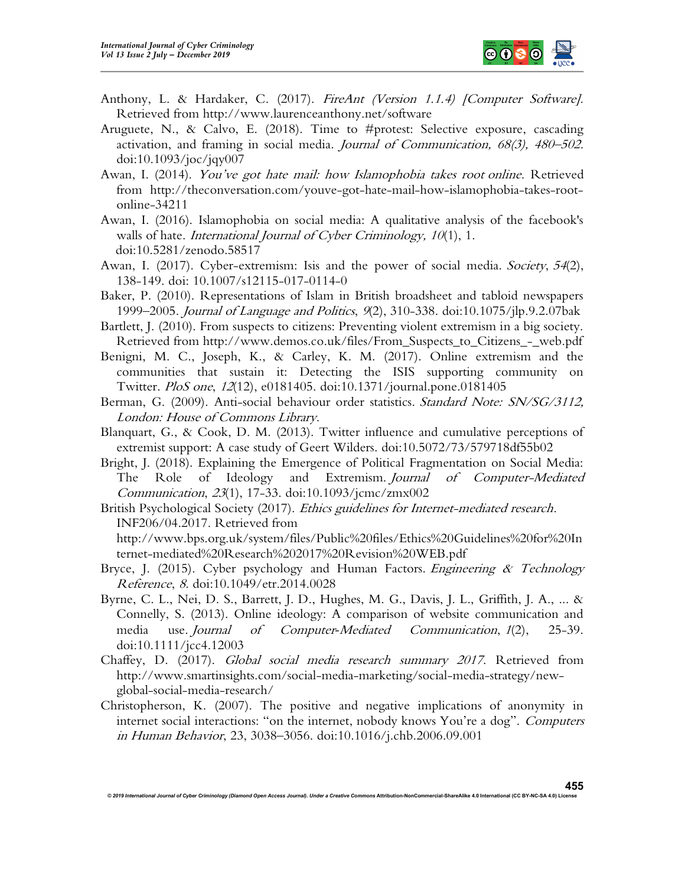

- Anthony, L. & Hardaker, C. (2017). FireAnt (Version 1.1.4) [Computer Software]. Retrieved from http://www.laurenceanthony.net/software
- Aruguete, N., & Calvo, E. (2018). Time to #protest: Selective exposure, cascading activation, and framing in social media. Journal of Communication,  $68(3)$ ,  $480-502$ . doi:10.1093/joc/jqy007
- Awan, I. (2014). You've got hate mail: how Islamophobia takes root online. Retrieved from http://theconversation.com/youve-got-hate-mail-how-islamophobia-takes-rootonline-34211
- Awan, I. (2016). Islamophobia on social media: A qualitative analysis of the facebook's walls of hate. International Journal of Cyber Criminology, 10(1), 1. doi:10.5281/zenodo.58517
- Awan, I. (2017). Cyber-extremism: Isis and the power of social media. Society, 54(2), 138-149. doi: 10.1007/s12115-017-0114-0
- Baker, P. (2010). Representations of Islam in British broadsheet and tabloid newspapers 1999–2005. Journal of Language and Politics, 9(2), 310-338. doi:10.1075/jlp.9.2.07bak
- Bartlett, J. (2010). From suspects to citizens: Preventing violent extremism in a big society. Retrieved from http://www.demos.co.uk/files/From\_Suspects\_to\_Citizens\_-\_web.pdf
- Benigni, M. C., Joseph, K., & Carley, K. M. (2017). Online extremism and the communities that sustain it: Detecting the ISIS supporting community on Twitter. PloS one, 12(12), e0181405. doi:10.1371/journal.pone.0181405
- Berman, G. (2009). Anti-social behaviour order statistics. Standard Note: SN/SG/3112, London: House of Commons Library.
- Blanquart, G., & Cook, D. M. (2013). Twitter influence and cumulative perceptions of extremist support: A case study of Geert Wilders. doi:10.5072/73/579718df55b02
- Bright, J. (2018). Explaining the Emergence of Political Fragmentation on Social Media: The Role of Ideology and Extremism. Journal of Computer-Mediated Communication, 23(1), 17-33. doi:10.1093/jcmc/zmx002
- British Psychological Society (2017). Ethics guidelines for Internet-mediated research. INF206/04.2017. Retrieved from http://www.bps.org.uk/system/files/Public%20files/Ethics%20Guidelines%20for%20In
	- ternet-mediated%20Research%202017%20Revision%20WEB.pdf
- Bryce, J. (2015). Cyber psychology and Human Factors. Engineering  $\&$  Technology Reference, 8. doi:10.1049/etr.2014.0028
- Byrne, C. L., Nei, D. S., Barrett, J. D., Hughes, M. G., Davis, J. L., Griffith, J. A., ... & Connelly, S. (2013). Online ideology: A comparison of website communication and media use. Journal of Computer-Mediated Communication, 1(2), 25-39. doi:10.1111/jcc4.12003
- Chaffey, D. (2017). Global social media research summary 2017. Retrieved from http://www.smartinsights.com/social-media-marketing/social-media-strategy/newglobal-social-media-research/
- Christopherson, K. (2007). The positive and negative implications of anonymity in internet social interactions: "on the internet, nobody knows You're a dog". Computers in Human Behavior, 23, 3038–3056. doi:10.1016/j.chb.2006.09.001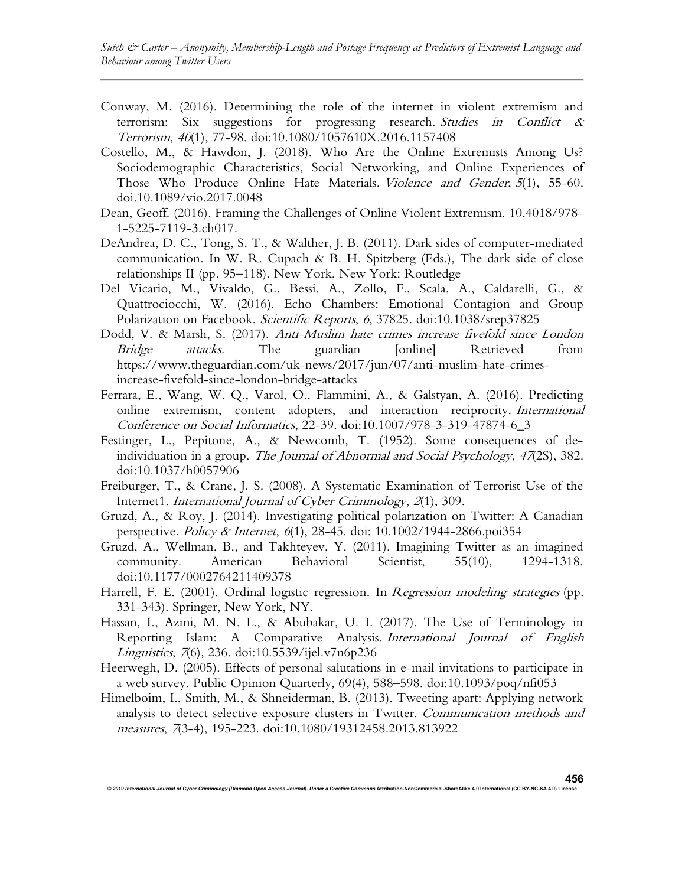- Conway, M. (2016). Determining the role of the internet in violent extremism and terrorism: Six suggestions for progressing research. Studies in Conflict & Terrorism, 40(1), 77-98. doi:10.1080/1057610X.2016.1157408
- Costello, M., & Hawdon, J. (2018). Who Are the Online Extremists Among Us? Sociodemographic Characteristics, Social Networking, and Online Experiences of Those Who Produce Online Hate Materials. Violence and Gender, 5(1), 55-60. doi.10.1089/vio.2017.0048
- Dean, Geoff. (2016). Framing the Challenges of Online Violent Extremism. 10.4018/978- 1-5225-7119-3.ch017.
- DeAndrea, D. C., Tong, S. T., & Walther, J. B. (2011). Dark sides of computer-mediated communication. In W. R. Cupach & B. H. Spitzberg (Eds.), The dark side of close relationships II (pp. 95–118). New York, New York: Routledge
- Del Vicario, M., Vivaldo, G., Bessi, A., Zollo, F., Scala, A., Caldarelli, G., & Quattrociocchi, W. (2016). Echo Chambers: Emotional Contagion and Group Polarization on Facebook. Scientific Reports, 6, 37825. doi:10.1038/srep37825
- Dodd, V. & Marsh, S. (2017). Anti-Muslim hate crimes increase fivefold since London Bridge attacks. The guardian [online] Retrieved from https://www.theguardian.com/uk-news/2017/jun/07/anti-muslim-hate-crimesincrease-fivefold-since-london-bridge-attacks
- Ferrara, E., Wang, W. Q., Varol, O., Flammini, A., & Galstyan, A. (2016). Predicting online extremism, content adopters, and interaction reciprocity. International Conference on Social Informatics, 22-39. doi:10.1007/978-3-319-47874-6\_3
- Festinger, L., Pepitone, A., & Newcomb, T. (1952). Some consequences of deindividuation in a group. The Journal of Abnormal and Social Psychology, 47(2S), 382. doi:10.1037/h0057906
- Freiburger, T., & Crane, J. S. (2008). A Systematic Examination of Terrorist Use of the Internet1. International Journal of Cyber Criminology, 2(1), 309.
- Gruzd, A., & Roy, J. (2014). Investigating political polarization on Twitter: A Canadian perspective. Policy & Internet, 6(1), 28-45. doi: 10.1002/1944-2866.poi354
- Gruzd, A., Wellman, B., and Takhteyev, Y. (2011). Imagining Twitter as an imagined community. American Behavioral Scientist, 55(10), 1294-1318. doi:10.1177/0002764211409378
- Harrell, F. E. (2001). Ordinal logistic regression. In *Regression modeling strategies* (pp. 331-343). Springer, New York, NY.
- Hassan, I., Azmi, M. N. L., & Abubakar, U. I. (2017). The Use of Terminology in Reporting Islam: A Comparative Analysis. International Journal of English Linguistics, 7(6), 236. doi:10.5539/ijel.v7n6p236
- Heerwegh, D. (2005). Effects of personal salutations in e-mail invitations to participate in a web survey. Public Opinion Quarterly, 69(4), 588–598. doi:10.1093/poq/nfi053
- Himelboim, I., Smith, M., & Shneiderman, B. (2013). Tweeting apart: Applying network analysis to detect selective exposure clusters in Twitter. Communication methods and measures, 7(3-4), 195-223. doi:10.1080/19312458.2013.813922

© 2019 International Journal of Cyber Criminology (Diamond Open Access Journal). Under a Creative Commons Attribution-NonCommercial-ShareAlike 4.0 International (CC BY-NC-SA 4.0) L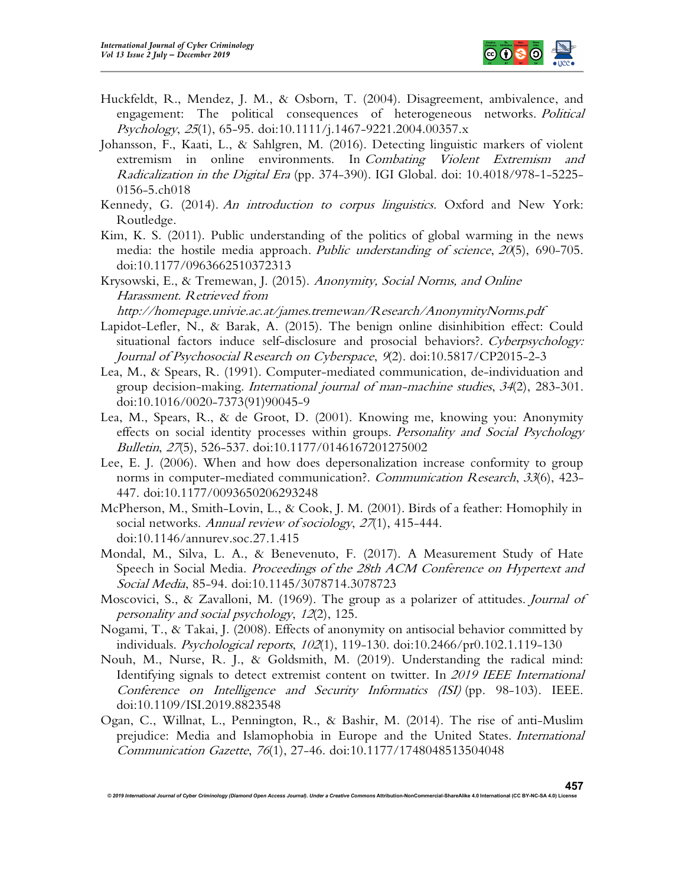

- Huckfeldt, R., Mendez, J. M., & Osborn, T. (2004). Disagreement, ambivalence, and engagement: The political consequences of heterogeneous networks. Political Psychology, 25(1), 65-95. doi:10.1111/j.1467-9221.2004.00357.x
- Johansson, F., Kaati, L., & Sahlgren, M. (2016). Detecting linguistic markers of violent extremism in online environments. In Combating Violent Extremism and Radicalization in the Digital Era (pp. 374-390). IGI Global. doi: 10.4018/978-1-5225- 0156-5.ch018
- Kennedy, G. (2014). An introduction to corpus linguistics. Oxford and New York: Routledge.
- Kim, K. S. (2011). Public understanding of the politics of global warming in the news media: the hostile media approach. *Public understanding of science*, 20(5), 690-705. doi:10.1177/0963662510372313
- Krysowski, E., & Tremewan, J. (2015). Anonymity, Social Norms, and Online Harassment. Retrieved from

http://homepage.univie.ac.at/james.tremewan/Research/AnonymityNorms.pdf

- Lapidot-Lefler, N., & Barak, A. (2015). The benign online disinhibition effect: Could situational factors induce self-disclosure and prosocial behaviors?. Cyberpsychology: Journal of Psychosocial Research on Cyberspace, 9(2). doi:10.5817/CP2015-2-3
- Lea, M., & Spears, R. (1991). Computer-mediated communication, de-individuation and group decision-making. International journal of man-machine studies, 34(2), 283-301. doi:10.1016/0020-7373(91)90045-9
- Lea, M., Spears, R., & de Groot, D. (2001). Knowing me, knowing you: Anonymity effects on social identity processes within groups. Personality and Social Psychology Bulletin, 27(5), 526-537. doi:10.1177/0146167201275002
- Lee, E. J. (2006). When and how does depersonalization increase conformity to group norms in computer-mediated communication?. Communication Research, 33(6), 423-447. doi:10.1177/0093650206293248
- McPherson, M., Smith-Lovin, L., & Cook, J. M. (2001). Birds of a feather: Homophily in social networks. Annual review of sociology, 27(1), 415-444. doi:10.1146/annurev.soc.27.1.415
- Mondal, M., Silva, L. A., & Benevenuto, F. (2017). A Measurement Study of Hate Speech in Social Media. *Proceedings of the 28th ACM Conference on Hypertext and* Social Media, 85-94. doi:10.1145/3078714.3078723
- Moscovici, S., & Zavalloni, M. (1969). The group as a polarizer of attitudes. Journal of personality and social psychology, 12(2), 125.
- Nogami, T., & Takai, J. (2008). Effects of anonymity on antisocial behavior committed by individuals. Psychological reports, 102(1), 119-130. doi:10.2466/pr0.102.1.119-130
- Nouh, M., Nurse, R. J., & Goldsmith, M. (2019). Understanding the radical mind: Identifying signals to detect extremist content on twitter. In 2019 IEEE International Conference on Intelligence and Security Informatics (ISI) (pp. 98-103). IEEE. doi:10.1109/ISI.2019.8823548
- Ogan, C., Willnat, L., Pennington, R., & Bashir, M. (2014). The rise of anti-Muslim prejudice: Media and Islamophobia in Europe and the United States. International Communication Gazette, 76(1), 27-46. doi:10.1177/1748048513504048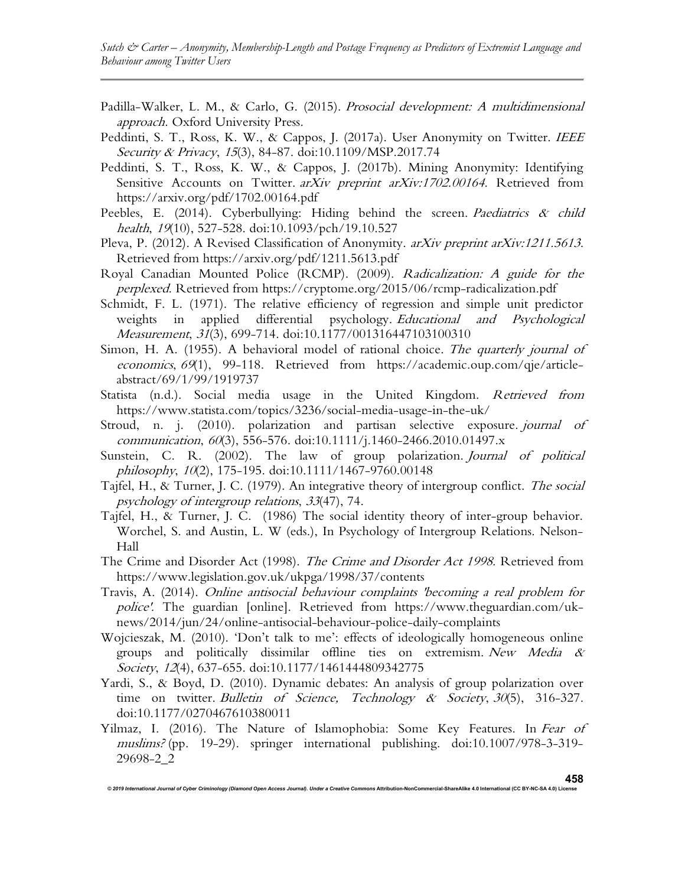Sutch & Carter – Anonymity, Membership-Length and Postage Frequency as Predictors of Extremist Language and Behaviour among Twitter Users

- Padilla-Walker, L. M., & Carlo, G. (2015). Prosocial development: A multidimensional approach. Oxford University Press.
- Peddinti, S. T., Ross, K. W., & Cappos, J. (2017a). User Anonymity on Twitter. IEEE Security & Privacy, 15(3), 84-87. doi:10.1109/MSP.2017.74
- Peddinti, S. T., Ross, K. W., & Cappos, J. (2017b). Mining Anonymity: Identifying Sensitive Accounts on Twitter. arXiv preprint arXiv:1702.00164. Retrieved from https://arxiv.org/pdf/1702.00164.pdf
- Peebles, E. (2014). Cyberbullying: Hiding behind the screen. Paediatrics  $\alpha$  child health, 19(10), 527-528. doi:10.1093/pch/19.10.527
- Pleva, P. (2012). A Revised Classification of Anonymity. arXiv preprint arXiv:1211.5613. Retrieved from https://arxiv.org/pdf/1211.5613.pdf
- Royal Canadian Mounted Police (RCMP). (2009). Radicalization: A guide for the perplexed. Retrieved from https://cryptome.org/2015/06/rcmp-radicalization.pdf
- Schmidt, F. L. (1971). The relative efficiency of regression and simple unit predictor weights in applied differential psychology. Educational and Psychological Measurement, 31(3), 699-714. doi:10.1177/001316447103100310
- Simon, H. A. (1955). A behavioral model of rational choice. The quarterly journal of economics, 69(1), 99-118. Retrieved from https://academic.oup.com/qje/articleabstract/69/1/99/1919737
- Statista (n.d.). Social media usage in the United Kingdom. Retrieved from https://www.statista.com/topics/3236/social-media-usage-in-the-uk/
- Stroud, n. j. (2010). polarization and partisan selective exposure. journal of communication, 60(3), 556-576. doi:10.1111/j.1460-2466.2010.01497.x
- Sunstein, C. R. (2002). The law of group polarization. Journal of political philosophy, 10(2), 175-195. doi:10.1111/1467-9760.00148
- Tajfel, H., & Turner, J. C. (1979). An integrative theory of intergroup conflict. The social psychology of intergroup relations, 33(47), 74.
- Tajfel, H., & Turner, J. C. (1986) The social identity theory of inter-group behavior. Worchel, S. and Austin, L. W (eds.), In Psychology of Intergroup Relations. Nelson-Hall
- The Crime and Disorder Act (1998). The Crime and Disorder Act 1998. Retrieved from https://www.legislation.gov.uk/ukpga/1998/37/contents
- Travis, A. (2014). Online antisocial behaviour complaints 'becoming a real problem for police'. The guardian [online]. Retrieved from https://www.theguardian.com/uknews/2014/jun/24/online-antisocial-behaviour-police-daily-complaints
- Wojcieszak, M. (2010). 'Don't talk to me': effects of ideologically homogeneous online groups and politically dissimilar offline ties on extremism. New Media & Society, 12(4), 637-655. doi:10.1177/1461444809342775
- Yardi, S., & Boyd, D. (2010). Dynamic debates: An analysis of group polarization over time on twitter. Bulletin of Science, Technology & Society,  $30(5)$ ,  $316-327$ . doi:10.1177/0270467610380011
- Yilmaz, I. (2016). The Nature of Islamophobia: Some Key Features. In Fear of muslims? (pp. 19-29). springer international publishing. doi:10.1007/978-3-319- 29698-2\_2

© 2019 International Journal of Cyber Criminology (Diamond Open Access Journal). Under a Creative Commons Attribution-NonCommercial-ShareAlike 4.0 International (CC BY-NC-SA 4.0) License 458